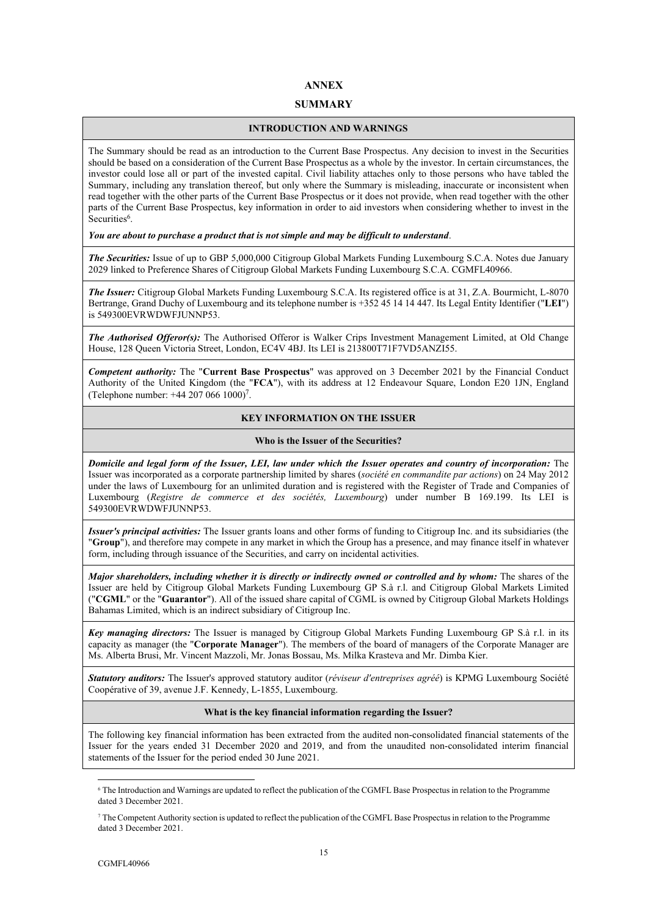# **ANNEX**

## **SUMMARY**

## **INTRODUCTION AND WARNINGS**

The Summary should be read as an introduction to the Current Base Prospectus. Any decision to invest in the Securities should be based on a consideration of the Current Base Prospectus as a whole by the investor. In certain circumstances, the investor could lose all or part of the invested capital. Civil liability attaches only to those persons who have tabled the Summary, including any translation thereof, but only where the Summary is misleading, inaccurate or inconsistent when read together with the other parts of the Current Base Prospectus or it does not provide, when read together with the other parts of the Current Base Prospectus, key information in order to aid investors when considering whether to invest in the Securities<sup>6</sup>.

## *You are about to purchase a product that is not simple and may be difficult to understand*.

*The Securities:* Issue of up to GBP 5,000,000 Citigroup Global Markets Funding Luxembourg S.C.A. Notes due January 2029 linked to Preference Shares of Citigroup Global Markets Funding Luxembourg S.C.A. CGMFL40966.

*The Issuer:* Citigroup Global Markets Funding Luxembourg S.C.A. Its registered office is at 31, Z.A. Bourmicht, L-8070 Bertrange, Grand Duchy of Luxembourg and its telephone number is +352 45 14 14 447. Its Legal Entity Identifier ("**LEI**") is 549300EVRWDWFJUNNP53.

*The Authorised Offeror(s):* The Authorised Offeror is Walker Crips Investment Management Limited, at Old Change House, 128 Queen Victoria Street, London, EC4V 4BJ. Its LEI is 213800T71F7VD5ANZI55.

*Competent authority:* The "**Current Base Prospectus**" was approved on 3 December 2021 by the Financial Conduct Authority of the United Kingdom (the "**FCA**"), with its address at 12 Endeavour Square, London E20 1JN, England (Telephone number:  $+442070661000$ <sup>7</sup>.

# **KEY INFORMATION ON THE ISSUER**

## **Who is the Issuer of the Securities?**

*Domicile and legal form of the Issuer, LEI, law under which the Issuer operates and country of incorporation:* The Issuer was incorporated as a corporate partnership limited by shares (*société en commandite par actions*) on 24 May 2012 under the laws of Luxembourg for an unlimited duration and is registered with the Register of Trade and Companies of Luxembourg (*Registre de commerce et des sociétés, Luxembourg*) under number B 169.199. Its LEI is 549300EVRWDWFJUNNP53.

*Issuer's principal activities:* The Issuer grants loans and other forms of funding to Citigroup Inc. and its subsidiaries (the "**Group**"), and therefore may compete in any market in which the Group has a presence, and may finance itself in whatever form, including through issuance of the Securities, and carry on incidental activities.

*Major shareholders, including whether it is directly or indirectly owned or controlled and by whom:* The shares of the Issuer are held by Citigroup Global Markets Funding Luxembourg GP S.à r.l. and Citigroup Global Markets Limited ("**CGML**" or the "**Guarantor**"). All of the issued share capital of CGML is owned by Citigroup Global Markets Holdings Bahamas Limited, which is an indirect subsidiary of Citigroup Inc.

*Key managing directors:* The Issuer is managed by Citigroup Global Markets Funding Luxembourg GP S.à r.l. in its capacity as manager (the "**Corporate Manager**"). The members of the board of managers of the Corporate Manager are Ms. Alberta Brusi, Mr. Vincent Mazzoli, Mr. Jonas Bossau, Ms. Milka Krasteva and Mr. Dimba Kier.

*Statutory auditors:* The Issuer's approved statutory auditor (*réviseur d'entreprises agréé*) is KPMG Luxembourg Société Coopérative of 39, avenue J.F. Kennedy, L-1855, Luxembourg.

## **What is the key financial information regarding the Issuer?**

The following key financial information has been extracted from the audited non-consolidated financial statements of the Issuer for the years ended 31 December 2020 and 2019, and from the unaudited non-consolidated interim financial statements of the Issuer for the period ended 30 June 2021.

<sup>6</sup> The Introduction and Warnings are updated to reflect the publication of the CGMFL Base Prospectus in relation to the Programme dated 3 December 2021.

<sup>7</sup> The Competent Authority section is updated to reflect the publication of the CGMFL Base Prospectus in relation to the Programme dated 3 December 2021.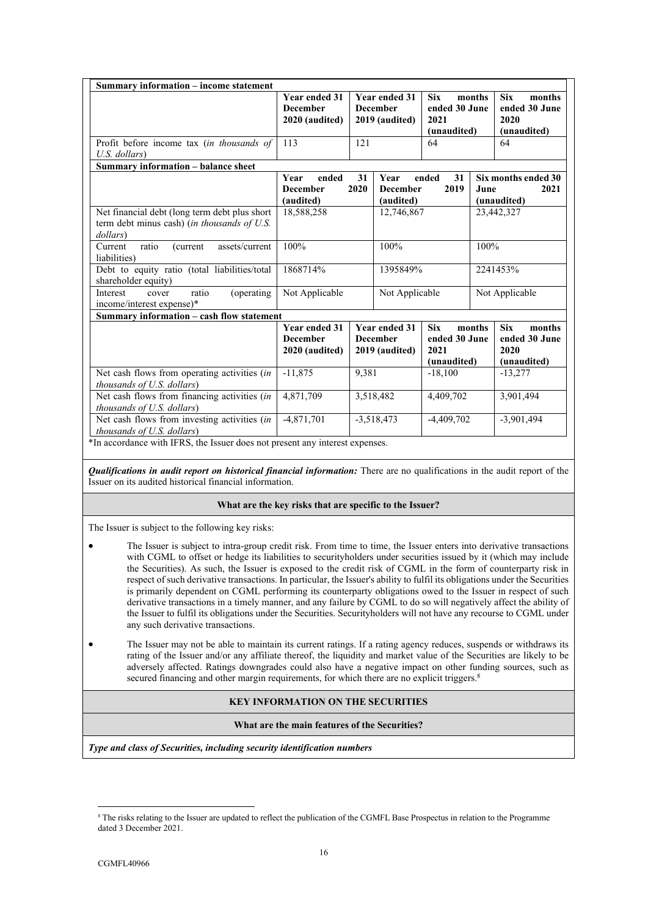| Summary information – income statement                                                                                                                             |                                                           |                                                                           |                                                           |                                                    |          |                                                              |
|--------------------------------------------------------------------------------------------------------------------------------------------------------------------|-----------------------------------------------------------|---------------------------------------------------------------------------|-----------------------------------------------------------|----------------------------------------------------|----------|--------------------------------------------------------------|
|                                                                                                                                                                    | <b>Year ended 31</b><br><b>December</b><br>2020 (audited) |                                                                           | <b>Year ended 31</b><br><b>December</b><br>2019 (audited) | <b>Six</b><br>ended 30 June<br>2021<br>(unaudited) | months   | <b>Six</b><br>months<br>ended 30 June<br>2020<br>(unaudited) |
| Profit before income tax (in thousands of<br>U.S. dollars)                                                                                                         | 113                                                       | 121                                                                       |                                                           | 64                                                 |          | 64                                                           |
| Summary information - balance sheet                                                                                                                                |                                                           |                                                                           |                                                           |                                                    |          |                                                              |
|                                                                                                                                                                    | Year<br>ended<br><b>December</b><br>(audited)             | 31<br>31<br>Year<br>ended<br>2020<br><b>December</b><br>2019<br>(audited) |                                                           | Six months ended 30<br>2021<br>June<br>(unaudited) |          |                                                              |
| Net financial debt (long term debt plus short<br>term debt minus cash) (in thousands of U.S.<br>dollars)                                                           | 18,588,258                                                |                                                                           | 12,746,867                                                |                                                    |          | 23,442,327                                                   |
| ratio<br>assets/current<br>(current<br>Current<br>liabilities)                                                                                                     | 100%                                                      |                                                                           | 100%                                                      |                                                    | 100%     |                                                              |
| Debt to equity ratio (total liabilities/total<br>shareholder equity)                                                                                               | 1868714%                                                  |                                                                           | 1395849%                                                  |                                                    | 2241453% |                                                              |
| Interest<br>ratio<br>(operating)<br>cover<br>income/interest expense)*                                                                                             | Not Applicable                                            | Not Applicable                                                            |                                                           | Not Applicable                                     |          |                                                              |
| Summary information – cash flow statement                                                                                                                          |                                                           |                                                                           |                                                           |                                                    |          |                                                              |
|                                                                                                                                                                    | <b>Year ended 31</b><br><b>December</b><br>2020 (audited) |                                                                           | <b>Year ended 31</b><br><b>December</b><br>2019 (audited) | <b>Six</b><br>ended 30 June<br>2021<br>(unaudited) | months   | <b>Six</b><br>months<br>ended 30 June<br>2020<br>(unaudited) |
| Net cash flows from operating activities (in<br>thousands of U.S. dollars)                                                                                         | $-11,875$                                                 | 9,381                                                                     |                                                           | $-18,100$                                          |          | $-13,277$                                                    |
| Net cash flows from financing activities (in<br>thousands of U.S. dollars)                                                                                         | 4,871,709                                                 |                                                                           | 3,518,482                                                 | 4,409,702                                          |          | 3,901,494                                                    |
| Net cash flows from investing activities (in<br><i>thousands of U.S. dollars</i> )<br>*In accordance with IFRS, the Issuer does not present any interest expenses. | $-4,871,701$                                              |                                                                           | $-3,518,473$                                              | $-4,409,702$                                       |          | $-3,901,494$                                                 |

*Qualifications in audit report on historical financial information:* There are no qualifications in the audit report of the Issuer on its audited historical financial information.

## **What are the key risks that are specific to the Issuer?**

The Issuer is subject to the following key risks:

- The Issuer is subject to intra-group credit risk. From time to time, the Issuer enters into derivative transactions with CGML to offset or hedge its liabilities to securityholders under securities issued by it (which may include the Securities). As such, the Issuer is exposed to the credit risk of CGML in the form of counterparty risk in respect of such derivative transactions. In particular, the Issuer's ability to fulfil its obligations under the Securities is primarily dependent on CGML performing its counterparty obligations owed to the Issuer in respect of such derivative transactions in a timely manner, and any failure by CGML to do so will negatively affect the ability of the Issuer to fulfil its obligations under the Securities. Securityholders will not have any recourse to CGML under any such derivative transactions.
- The Issuer may not be able to maintain its current ratings. If a rating agency reduces, suspends or withdraws its rating of the Issuer and/or any affiliate thereof, the liquidity and market value of the Securities are likely to be adversely affected. Ratings downgrades could also have a negative impact on other funding sources, such as secured financing and other margin requirements, for which there are no explicit triggers.<sup>8</sup>

## **KEY INFORMATION ON THE SECURITIES**

#### **What are the main features of the Securities?**

*Type and class of Securities, including security identification numbers*

<sup>8</sup> The risks relating to the Issuer are updated to reflect the publication of the CGMFL Base Prospectus in relation to the Programme dated 3 December 2021.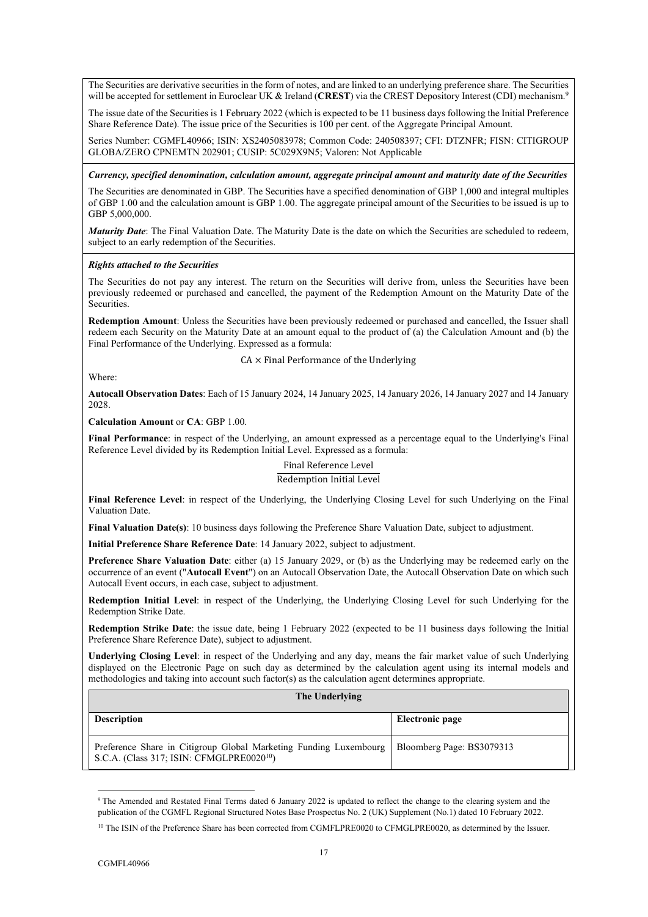The Securities are derivative securities in the form of notes, and are linked to an underlying preference share. The Securities will be accepted for settlement in Euroclear UK & Ireland (CREST) via the CREST Depository Interest (CDI) mechanism.<sup>9</sup>

The issue date of the Securities is 1 February 2022 (which is expected to be 11 business days following the Initial Preference Share Reference Date). The issue price of the Securities is 100 per cent. of the Aggregate Principal Amount.

Series Number: CGMFL40966; ISIN: XS2405083978; Common Code: 240508397; CFI: DTZNFR; FISN: CITIGROUP GLOBA/ZERO CPNEMTN 202901; CUSIP: 5C029X9N5; Valoren: Not Applicable

*Currency, specified denomination, calculation amount, aggregate principal amount and maturity date of the Securities*

The Securities are denominated in GBP. The Securities have a specified denomination of GBP 1,000 and integral multiples of GBP 1.00 and the calculation amount is GBP 1.00. The aggregate principal amount of the Securities to be issued is up to GBP 5,000,000.

*Maturity Date*: The Final Valuation Date. The Maturity Date is the date on which the Securities are scheduled to redeem, subject to an early redemption of the Securities.

## *Rights attached to the Securities*

The Securities do not pay any interest. The return on the Securities will derive from, unless the Securities have been previously redeemed or purchased and cancelled, the payment of the Redemption Amount on the Maturity Date of the Securities.

**Redemption Amount**: Unless the Securities have been previously redeemed or purchased and cancelled, the Issuer shall redeem each Security on the Maturity Date at an amount equal to the product of (a) the Calculation Amount and (b) the Final Performance of the Underlying. Expressed as a formula:

 $CA \times$  Final Performance of the Underlying

Where:

**Autocall Observation Dates**: Each of 15 January 2024, 14 January 2025, 14 January 2026, 14 January 2027 and 14 January 2028.

**Calculation Amount** or **CA**: GBP 1.00.

**Final Performance**: in respect of the Underlying, an amount expressed as a percentage equal to the Underlying's Final Reference Level divided by its Redemption Initial Level. Expressed as a formula:

# Final Reference Level

## Redemption Initial Level

**Final Reference Level**: in respect of the Underlying, the Underlying Closing Level for such Underlying on the Final Valuation Date.

**Final Valuation Date(s)**: 10 business days following the Preference Share Valuation Date, subject to adjustment.

**Initial Preference Share Reference Date**: 14 January 2022, subject to adjustment.

**Preference Share Valuation Date**: either (a) 15 January 2029, or (b) as the Underlying may be redeemed early on the occurrence of an event ("**Autocall Event**") on an Autocall Observation Date, the Autocall Observation Date on which such Autocall Event occurs, in each case, subject to adjustment.

**Redemption Initial Level**: in respect of the Underlying, the Underlying Closing Level for such Underlying for the Redemption Strike Date.

**Redemption Strike Date**: the issue date, being 1 February 2022 (expected to be 11 business days following the Initial Preference Share Reference Date), subject to adjustment.

**Underlying Closing Level**: in respect of the Underlying and any day, means the fair market value of such Underlying displayed on the Electronic Page on such day as determined by the calculation agent using its internal models and methodologies and taking into account such factor(s) as the calculation agent determines appropriate.

| The Underlying                                                                                                             |                           |  |  |  |  |
|----------------------------------------------------------------------------------------------------------------------------|---------------------------|--|--|--|--|
| <b>Description</b>                                                                                                         | Electronic page           |  |  |  |  |
| Preference Share in Citigroup Global Marketing Funding Luxembourg<br>S.C.A. (Class 317; ISIN: CFMGLPRE0020 <sup>10</sup> ) | Bloomberg Page: BS3079313 |  |  |  |  |

<sup>&</sup>lt;sup>9</sup> The Amended and Restated Final Terms dated 6 January 2022 is updated to reflect the change to the clearing system and the publication of the CGMFL Regional Structured Notes Base Prospectus No. 2 (UK) Supplement (No.1) dated 10 February 2022.

<sup>&</sup>lt;sup>10</sup> The ISIN of the Preference Share has been corrected from CGMFLPRE0020 to CFMGLPRE0020, as determined by the Issuer.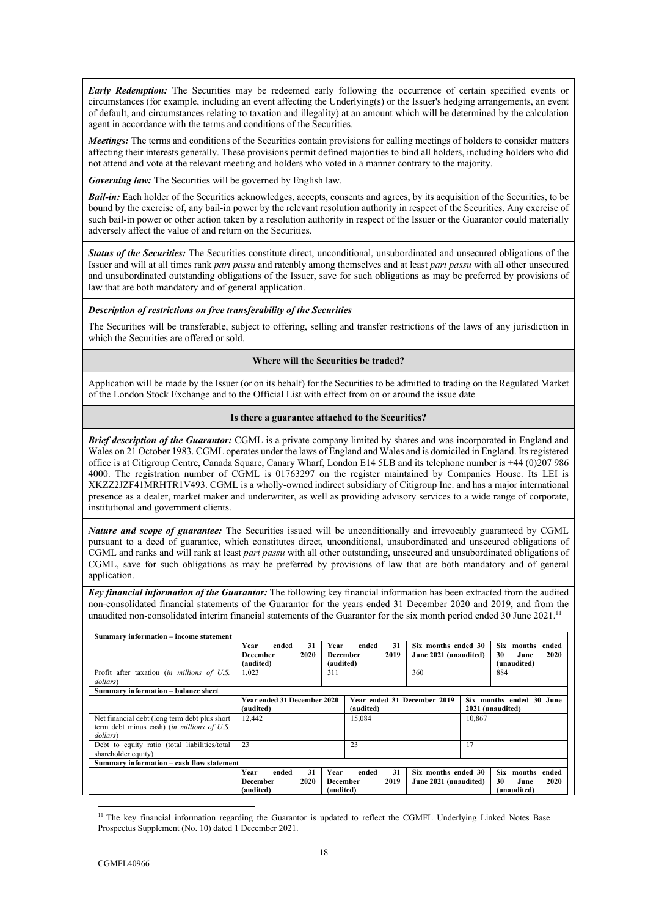*Early Redemption:* The Securities may be redeemed early following the occurrence of certain specified events or circumstances (for example, including an event affecting the Underlying(s) or the Issuer's hedging arrangements, an event of default, and circumstances relating to taxation and illegality) at an amount which will be determined by the calculation agent in accordance with the terms and conditions of the Securities.

*Meetings:* The terms and conditions of the Securities contain provisions for calling meetings of holders to consider matters affecting their interests generally. These provisions permit defined majorities to bind all holders, including holders who did not attend and vote at the relevant meeting and holders who voted in a manner contrary to the majority.

*Governing law:* The Securities will be governed by English law.

*Bail-in:* Each holder of the Securities acknowledges, accepts, consents and agrees, by its acquisition of the Securities, to be bound by the exercise of, any bail-in power by the relevant resolution authority in respect of the Securities. Any exercise of such bail-in power or other action taken by a resolution authority in respect of the Issuer or the Guarantor could materially adversely affect the value of and return on the Securities.

*Status of the Securities:* The Securities constitute direct, unconditional, unsubordinated and unsecured obligations of the Issuer and will at all times rank *pari passu* and rateably among themselves and at least *pari passu* with all other unsecured and unsubordinated outstanding obligations of the Issuer, save for such obligations as may be preferred by provisions of law that are both mandatory and of general application.

## *Description of restrictions on free transferability of the Securities*

The Securities will be transferable, subject to offering, selling and transfer restrictions of the laws of any jurisdiction in which the Securities are offered or sold.

## **Where will the Securities be traded?**

Application will be made by the Issuer (or on its behalf) for the Securities to be admitted to trading on the Regulated Market of the London Stock Exchange and to the Official List with effect from on or around the issue date

## **Is there a guarantee attached to the Securities?**

*Brief description of the Guarantor:* CGML is a private company limited by shares and was incorporated in England and Wales on 21 October 1983. CGML operates under the laws of England and Wales and is domiciled in England. Its registered office is at Citigroup Centre, Canada Square, Canary Wharf, London E14 5LB and its telephone number is +44 (0)207 986 4000. The registration number of CGML is 01763297 on the register maintained by Companies House. Its LEI is XKZZ2JZF41MRHTR1V493. CGML is a wholly-owned indirect subsidiary of Citigroup Inc. and has a major international presence as a dealer, market maker and underwriter, as well as providing advisory services to a wide range of corporate, institutional and government clients.

*Nature and scope of guarantee:* The Securities issued will be unconditionally and irrevocably guaranteed by CGML pursuant to a deed of guarantee, which constitutes direct, unconditional, unsubordinated and unsecured obligations of CGML and ranks and will rank at least *pari passu* with all other outstanding, unsecured and unsubordinated obligations of CGML, save for such obligations as may be preferred by provisions of law that are both mandatory and of general application.

*Key financial information of the Guarantor:* The following key financial information has been extracted from the audited non-consolidated financial statements of the Guarantor for the years ended 31 December 2020 and 2019, and from the unaudited non-consolidated interim financial statements of the Guarantor for the six month period ended 30 June 2021.<sup>11</sup>

| Summary information – income statement                                                                   |                                                      |                                                      |                                              |                                                                    |  |
|----------------------------------------------------------------------------------------------------------|------------------------------------------------------|------------------------------------------------------|----------------------------------------------|--------------------------------------------------------------------|--|
|                                                                                                          | 31<br>Year<br>ended<br>2020<br>December<br>(audited) | 31<br>ended<br>Year<br>2019<br>December<br>(audited) | Six months ended 30<br>June 2021 (unaudited) | <b>Six</b><br>months<br>ended<br>30<br>2020<br>June<br>(unaudited) |  |
| Profit after taxation (in millions of U.S.<br>dollars)                                                   | 1,023                                                | 311                                                  | 360                                          | 884                                                                |  |
| <b>Summary information – balance sheet</b>                                                               |                                                      |                                                      |                                              |                                                                    |  |
|                                                                                                          | <b>Year ended 31 December 2020</b><br>(audited)      | Year ended 31 December 2019<br>(audited)             |                                              | Six months ended 30 June<br>2021 (unaudited)                       |  |
| Net financial debt (long term debt plus short)<br>term debt minus cash) (in millions of U.S.<br>dollars) | 12.442                                               | 15,084                                               | 10,867                                       |                                                                    |  |
| Debt to equity ratio (total liabilities/total<br>shareholder equity)                                     | 23                                                   | 23                                                   | 17                                           |                                                                    |  |
| Summary information – cash flow statement                                                                |                                                      |                                                      |                                              |                                                                    |  |
|                                                                                                          | 31<br>Year<br>ended<br>2020<br>December<br>(audited) | 31<br>Year<br>ended<br>2019<br>December<br>(audited) | Six months ended 30<br>June 2021 (unaudited) | <b>Six</b><br>months<br>ended<br>2020<br>30<br>June<br>(unaudited) |  |

<sup>&</sup>lt;sup>11</sup> The key financial information regarding the Guarantor is updated to reflect the CGMFL Underlying Linked Notes Base Prospectus Supplement (No. 10) dated 1 December 2021.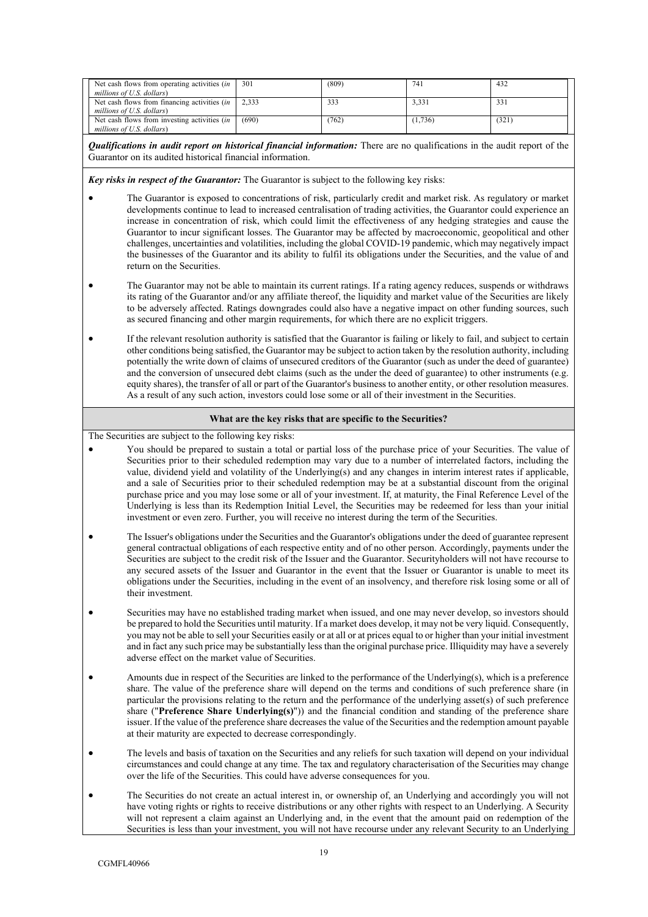| Net cash flows from operating activities <i>(in</i> )<br>millions of U.S. dollars) | 301   | (809) | 741     | 432   |
|------------------------------------------------------------------------------------|-------|-------|---------|-------|
| Net cash flows from financing activities <i>(in</i> )<br>millions of U.S. dollars) | 2.333 | 333   | 3.331   | 331   |
| Net cash flows from investing activities $(in \mid$<br>millions of U.S. dollars)   | (690) | (762) | (1.736) | (321) |

*Qualifications in audit report on historical financial information:* There are no qualifications in the audit report of the Guarantor on its audited historical financial information.

*Key risks in respect of the Guarantor:* The Guarantor is subject to the following key risks:

- The Guarantor is exposed to concentrations of risk, particularly credit and market risk. As regulatory or market developments continue to lead to increased centralisation of trading activities, the Guarantor could experience an increase in concentration of risk, which could limit the effectiveness of any hedging strategies and cause the Guarantor to incur significant losses. The Guarantor may be affected by macroeconomic, geopolitical and other challenges, uncertainties and volatilities, including the global COVID-19 pandemic, which may negatively impact the businesses of the Guarantor and its ability to fulfil its obligations under the Securities, and the value of and return on the Securities.
- The Guarantor may not be able to maintain its current ratings. If a rating agency reduces, suspends or withdraws its rating of the Guarantor and/or any affiliate thereof, the liquidity and market value of the Securities are likely to be adversely affected. Ratings downgrades could also have a negative impact on other funding sources, such as secured financing and other margin requirements, for which there are no explicit triggers.
- If the relevant resolution authority is satisfied that the Guarantor is failing or likely to fail, and subject to certain other conditions being satisfied, the Guarantor may be subject to action taken by the resolution authority, including potentially the write down of claims of unsecured creditors of the Guarantor (such as under the deed of guarantee) and the conversion of unsecured debt claims (such as the under the deed of guarantee) to other instruments (e.g. equity shares), the transfer of all or part of the Guarantor's business to another entity, or other resolution measures. As a result of any such action, investors could lose some or all of their investment in the Securities.

# **What are the key risks that are specific to the Securities?**

The Securities are subject to the following key risks:

- You should be prepared to sustain a total or partial loss of the purchase price of your Securities. The value of Securities prior to their scheduled redemption may vary due to a number of interrelated factors, including the value, dividend yield and volatility of the Underlying(s) and any changes in interim interest rates if applicable, and a sale of Securities prior to their scheduled redemption may be at a substantial discount from the original purchase price and you may lose some or all of your investment. If, at maturity, the Final Reference Level of the Underlying is less than its Redemption Initial Level, the Securities may be redeemed for less than your initial investment or even zero. Further, you will receive no interest during the term of the Securities.
- The Issuer's obligations under the Securities and the Guarantor's obligations under the deed of guarantee represent general contractual obligations of each respective entity and of no other person. Accordingly, payments under the Securities are subject to the credit risk of the Issuer and the Guarantor. Securityholders will not have recourse to any secured assets of the Issuer and Guarantor in the event that the Issuer or Guarantor is unable to meet its obligations under the Securities, including in the event of an insolvency, and therefore risk losing some or all of their investment.
- Securities may have no established trading market when issued, and one may never develop, so investors should be prepared to hold the Securities until maturity. If a market does develop, it may not be very liquid. Consequently, you may not be able to sell your Securities easily or at all or at prices equal to or higher than your initial investment and in fact any such price may be substantially less than the original purchase price. Illiquidity may have a severely adverse effect on the market value of Securities.
- Amounts due in respect of the Securities are linked to the performance of the Underlying(s), which is a preference share. The value of the preference share will depend on the terms and conditions of such preference share (in particular the provisions relating to the return and the performance of the underlying asset(s) of such preference share ("**Preference Share Underlying(s)**")) and the financial condition and standing of the preference share issuer. If the value of the preference share decreases the value of the Securities and the redemption amount payable at their maturity are expected to decrease correspondingly.
- The levels and basis of taxation on the Securities and any reliefs for such taxation will depend on your individual circumstances and could change at any time. The tax and regulatory characterisation of the Securities may change over the life of the Securities. This could have adverse consequences for you.
- The Securities do not create an actual interest in, or ownership of, an Underlying and accordingly you will not have voting rights or rights to receive distributions or any other rights with respect to an Underlying. A Security will not represent a claim against an Underlying and, in the event that the amount paid on redemption of the Securities is less than your investment, you will not have recourse under any relevant Security to an Underlying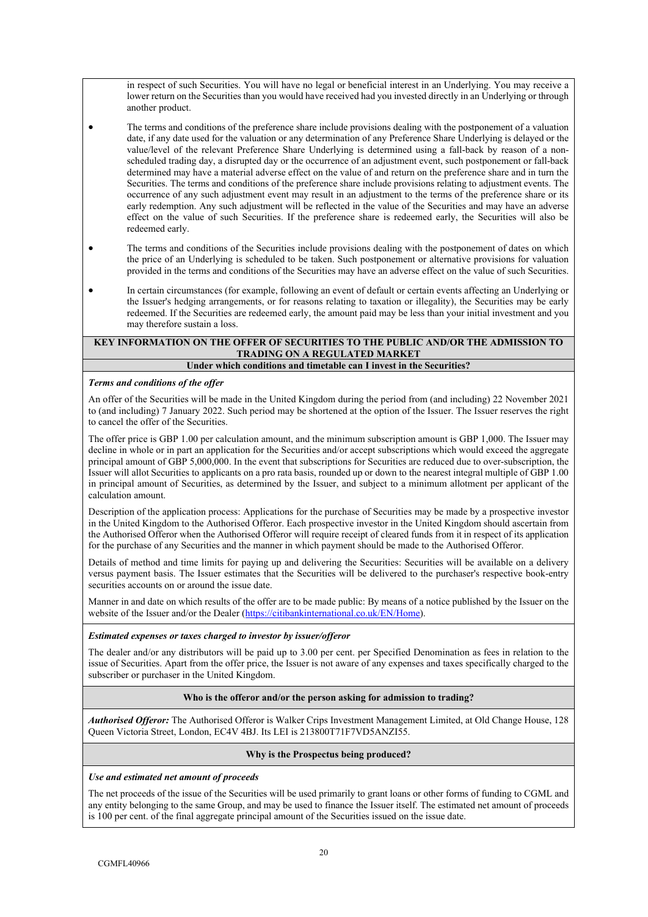in respect of such Securities. You will have no legal or beneficial interest in an Underlying. You may receive a lower return on the Securities than you would have received had you invested directly in an Underlying or through another product.

- The terms and conditions of the preference share include provisions dealing with the postponement of a valuation date, if any date used for the valuation or any determination of any Preference Share Underlying is delayed or the value/level of the relevant Preference Share Underlying is determined using a fall-back by reason of a nonscheduled trading day, a disrupted day or the occurrence of an adjustment event, such postponement or fall-back determined may have a material adverse effect on the value of and return on the preference share and in turn the Securities. The terms and conditions of the preference share include provisions relating to adjustment events. The occurrence of any such adjustment event may result in an adjustment to the terms of the preference share or its early redemption. Any such adjustment will be reflected in the value of the Securities and may have an adverse effect on the value of such Securities. If the preference share is redeemed early, the Securities will also be redeemed early.
- The terms and conditions of the Securities include provisions dealing with the postponement of dates on which the price of an Underlying is scheduled to be taken. Such postponement or alternative provisions for valuation provided in the terms and conditions of the Securities may have an adverse effect on the value of such Securities.
- In certain circumstances (for example, following an event of default or certain events affecting an Underlying or the Issuer's hedging arrangements, or for reasons relating to taxation or illegality), the Securities may be early redeemed. If the Securities are redeemed early, the amount paid may be less than your initial investment and you may therefore sustain a loss.

## **KEY INFORMATION ON THE OFFER OF SECURITIES TO THE PUBLIC AND/OR THE ADMISSION TO TRADING ON A REGULATED MARKET Under which conditions and timetable can I invest in the Securities?**

## *Terms and conditions of the offer*

An offer of the Securities will be made in the United Kingdom during the period from (and including) 22 November 2021 to (and including) 7 January 2022. Such period may be shortened at the option of the Issuer. The Issuer reserves the right to cancel the offer of the Securities.

The offer price is GBP 1.00 per calculation amount, and the minimum subscription amount is GBP 1,000. The Issuer may decline in whole or in part an application for the Securities and/or accept subscriptions which would exceed the aggregate principal amount of GBP 5,000,000. In the event that subscriptions for Securities are reduced due to over-subscription, the Issuer will allot Securities to applicants on a pro rata basis, rounded up or down to the nearest integral multiple of GBP 1.00 in principal amount of Securities, as determined by the Issuer, and subject to a minimum allotment per applicant of the calculation amount.

Description of the application process: Applications for the purchase of Securities may be made by a prospective investor in the United Kingdom to the Authorised Offeror. Each prospective investor in the United Kingdom should ascertain from the Authorised Offeror when the Authorised Offeror will require receipt of cleared funds from it in respect of its application for the purchase of any Securities and the manner in which payment should be made to the Authorised Offeror.

Details of method and time limits for paying up and delivering the Securities: Securities will be available on a delivery versus payment basis. The Issuer estimates that the Securities will be delivered to the purchaser's respective book-entry securities accounts on or around the issue date.

Manner in and date on which results of the offer are to be made public: By means of a notice published by the Issuer on the website of the Issuer and/or the Dealer ([https://citibankinternational.co.uk/EN/Home\)](https://citibankinternational.co.uk/EN/Home).

## *Estimated expenses or taxes charged to investor by issuer/offeror*

The dealer and/or any distributors will be paid up to 3.00 per cent. per Specified Denomination as fees in relation to the issue of Securities. Apart from the offer price, the Issuer is not aware of any expenses and taxes specifically charged to the subscriber or purchaser in the United Kingdom.

## **Who is the offeror and/or the person asking for admission to trading?**

*Authorised Offeror:* The Authorised Offeror is Walker Crips Investment Management Limited, at Old Change House, 128 Queen Victoria Street, London, EC4V 4BJ. Its LEI is 213800T71F7VD5ANZI55.

## **Why is the Prospectus being produced?**

## *Use and estimated net amount of proceeds*

The net proceeds of the issue of the Securities will be used primarily to grant loans or other forms of funding to CGML and any entity belonging to the same Group, and may be used to finance the Issuer itself. The estimated net amount of proceeds is 100 per cent. of the final aggregate principal amount of the Securities issued on the issue date.